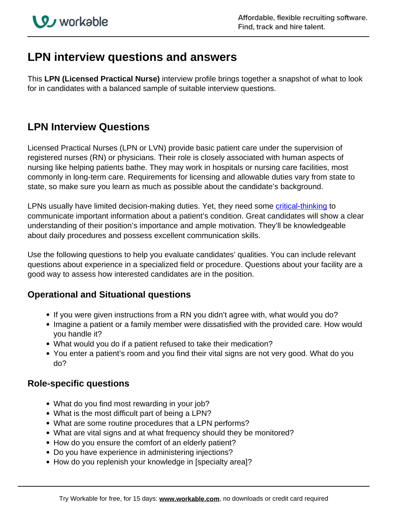# **LPN interview questions and answers**

This **LPN (Licensed Practical Nurse)** interview profile brings together a snapshot of what to look for in candidates with a balanced sample of suitable interview questions.

## **LPN Interview Questions**

Licensed Practical Nurses (LPN or LVN) provide basic patient care under the supervision of registered nurses (RN) or physicians. Their role is closely associated with human aspects of nursing like helping patients bathe. They may work in hospitals or nursing care facilities, most commonly in long-term care. Requirements for licensing and allowable duties vary from state to state, so make sure you learn as much as possible about the candidate's background.

LPNs usually have limited decision-making duties. Yet, they need some *critical-thinking* to communicate important information about a patient's condition. Great candidates will show a clear understanding of their position's importance and ample motivation. They'll be knowledgeable about daily procedures and possess excellent communication skills.

Use the following questions to help you evaluate candidates' qualities. You can include relevant questions about experience in a specialized field or procedure. Questions about your facility are a good way to assess how interested candidates are in the position.

## **Operational and Situational questions**

- If you were given instructions from a RN you didn't agree with, what would you do?
- Imagine a patient or a family member were dissatisfied with the provided care. How would you handle it?
- What would you do if a patient refused to take their medication?
- You enter a patient's room and you find their vital signs are not very good. What do you do?

### **Role-specific questions**

- What do you find most rewarding in your job?
- What is the most difficult part of being a LPN?
- What are some routine procedures that a LPN performs?
- What are vital signs and at what frequency should they be monitored?
- How do you ensure the comfort of an elderly patient?
- Do you have experience in administering injections?
- How do you replenish your knowledge in [specialty area]?